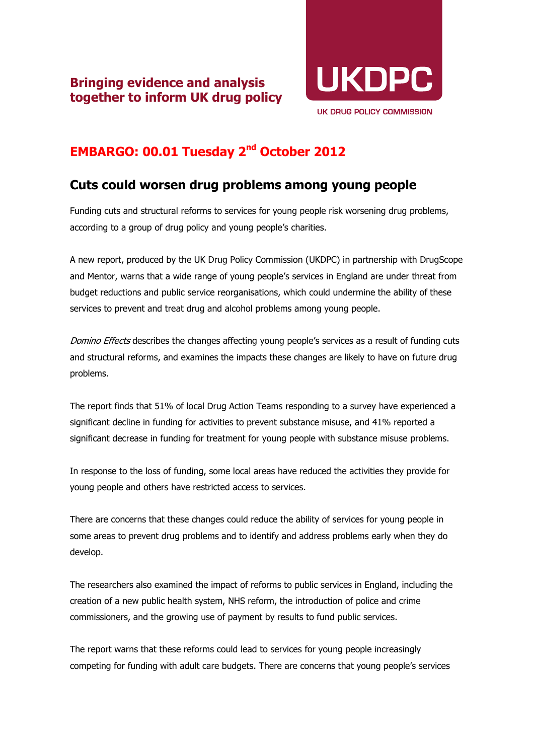

## **EMBARGO: 00.01 Tuesday 2nd October 2012**

## **Cuts could worsen drug problems among young people**

Funding cuts and structural reforms to services for young people risk worsening drug problems, according to a group of drug policy and young people's charities.

A new report, produced by the UK Drug Policy Commission (UKDPC) in partnership with DrugScope and Mentor, warns that a wide range of young people's services in England are under threat from budget reductions and public service reorganisations, which could undermine the ability of these services to prevent and treat drug and alcohol problems among young people.

Domino Effects describes the changes affecting young people's services as a result of funding cuts and structural reforms, and examines the impacts these changes are likely to have on future drug problems.

The report finds that 51% of local Drug Action Teams responding to a survey have experienced a significant decline in funding for activities to prevent substance misuse, and 41% reported a significant decrease in funding for treatment for young people with substance misuse problems.

In response to the loss of funding, some local areas have reduced the activities they provide for young people and others have restricted access to services.

There are concerns that these changes could reduce the ability of services for young people in some areas to prevent drug problems and to identify and address problems early when they do develop.

The researchers also examined the impact of reforms to public services in England, including the creation of a new public health system, NHS reform, the introduction of police and crime commissioners, and the growing use of payment by results to fund public services.

The report warns that these reforms could lead to services for young people increasingly competing for funding with adult care budgets. There are concerns that young people's services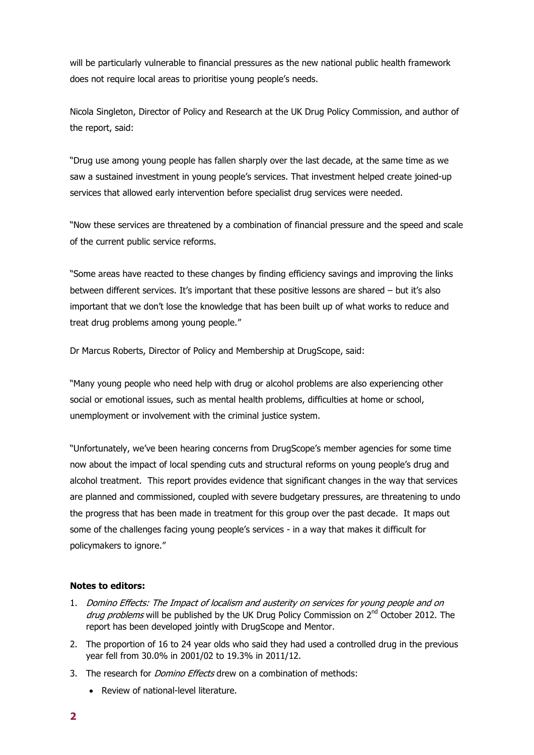will be particularly vulnerable to financial pressures as the new national public health framework does not require local areas to prioritise young people's needs.

Nicola Singleton, Director of Policy and Research at the UK Drug Policy Commission, and author of the report, said:

"Drug use among young people has fallen sharply over the last decade, at the same time as we saw a sustained investment in young people's services. That investment helped create joined-up services that allowed early intervention before specialist drug services were needed.

"Now these services are threatened by a combination of financial pressure and the speed and scale of the current public service reforms.

"Some areas have reacted to these changes by finding efficiency savings and improving the links between different services. It's important that these positive lessons are shared – but it's also important that we don't lose the knowledge that has been built up of what works to reduce and treat drug problems among young people."

Dr Marcus Roberts, Director of Policy and Membership at DrugScope, said:

"Many young people who need help with drug or alcohol problems are also experiencing other social or emotional issues, such as mental health problems, difficulties at home or school, unemployment or involvement with the criminal justice system.

"Unfortunately, we've been hearing concerns from DrugScope's member agencies for some time now about the impact of local spending cuts and structural reforms on young people's drug and alcohol treatment. This report provides evidence that significant changes in the way that services are planned and commissioned, coupled with severe budgetary pressures, are threatening to undo the progress that has been made in treatment for this group over the past decade. It maps out some of the challenges facing young people's services - in a way that makes it difficult for policymakers to ignore."

## **Notes to editors:**

- 1. Domino Effects: The Impact of localism and austerity on services for young people and on *drug problems* will be published by the UK Drug Policy Commission on  $2^{nd}$  October 2012. The report has been developed jointly with DrugScope and Mentor.
- 2. The proportion of 16 to 24 year olds who said they had used a controlled drug in the previous year fell from 30.0% in 2001/02 to 19.3% in 2011/12.
- 3. The research for *Domino Effects* drew on a combination of methods:
	- Review of national-level literature.